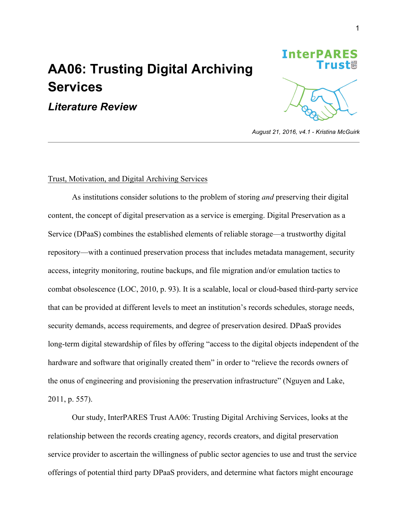# **AA06: Trusting Digital Archiving Services**

*Literature Review*



*August 21, 2016, v4.1 - Kristina McGuirk*

# Trust, Motivation, and Digital Archiving Services

As institutions consider solutions to the problem of storing *and* preserving their digital content, the concept of digital preservation as a service is emerging. Digital Preservation as a Service (DPaaS) combines the established elements of reliable storage—a trustworthy digital repository—with a continued preservation process that includes metadata management, security access, integrity monitoring, routine backups, and file migration and/or emulation tactics to combat obsolescence (LOC, 2010, p. 93). It is a scalable, local or cloud-based third-party service that can be provided at different levels to meet an institution's records schedules, storage needs, security demands, access requirements, and degree of preservation desired. DPaaS provides long-term digital stewardship of files by offering "access to the digital objects independent of the hardware and software that originally created them" in order to "relieve the records owners of the onus of engineering and provisioning the preservation infrastructure" (Nguyen and Lake, 2011, p. 557).

Our study, InterPARES Trust AA06: Trusting Digital Archiving Services, looks at the relationship between the records creating agency, records creators, and digital preservation service provider to ascertain the willingness of public sector agencies to use and trust the service offerings of potential third party DPaaS providers, and determine what factors might encourage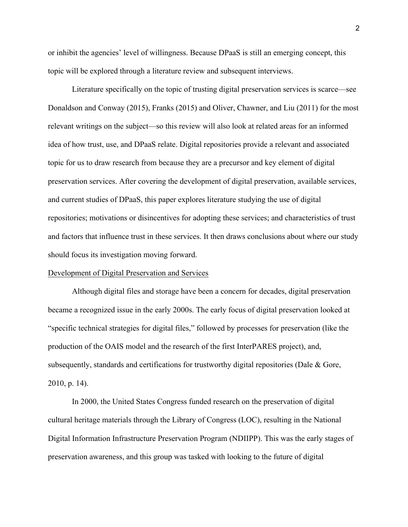or inhibit the agencies' level of willingness. Because DPaaS is still an emerging concept, this topic will be explored through a literature review and subsequent interviews.

Literature specifically on the topic of trusting digital preservation services is scarce—see Donaldson and Conway (2015), Franks (2015) and Oliver, Chawner, and Liu (2011) for the most relevant writings on the subject—so this review will also look at related areas for an informed idea of how trust, use, and DPaaS relate. Digital repositories provide a relevant and associated topic for us to draw research from because they are a precursor and key element of digital preservation services. After covering the development of digital preservation, available services, and current studies of DPaaS, this paper explores literature studying the use of digital repositories; motivations or disincentives for adopting these services; and characteristics of trust and factors that influence trust in these services. It then draws conclusions about where our study should focus its investigation moving forward.

## Development of Digital Preservation and Services

Although digital files and storage have been a concern for decades, digital preservation became a recognized issue in the early 2000s. The early focus of digital preservation looked at "specific technical strategies for digital files," followed by processes for preservation (like the production of the OAIS model and the research of the first InterPARES project), and, subsequently, standards and certifications for trustworthy digital repositories (Dale & Gore, 2010, p. 14).

In 2000, the United States Congress funded research on the preservation of digital cultural heritage materials through the Library of Congress (LOC), resulting in the National Digital Information Infrastructure Preservation Program (NDIIPP). This was the early stages of preservation awareness, and this group was tasked with looking to the future of digital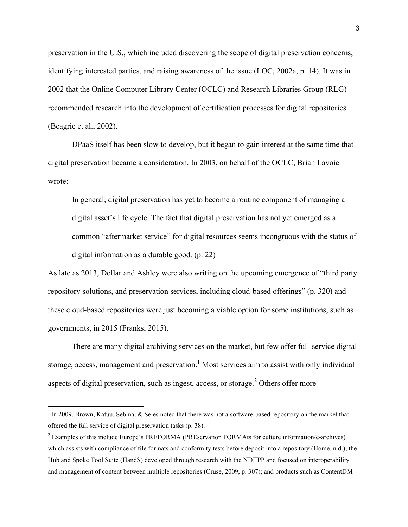preservation in the U.S., which included discovering the scope of digital preservation concerns, identifying interested parties, and raising awareness of the issue (LOC, 2002a, p. 14). It was in 2002 that the Online Computer Library Center (OCLC) and Research Libraries Group (RLG) recommended research into the development of certification processes for digital repositories (Beagrie et al., 2002).

DPaaS itself has been slow to develop, but it began to gain interest at the same time that digital preservation became a consideration. In 2003, on behalf of the OCLC, Brian Lavoie wrote:

In general, digital preservation has yet to become a routine component of managing a digital asset's life cycle. The fact that digital preservation has not yet emerged as a common "aftermarket service" for digital resources seems incongruous with the status of digital information as a durable good. (p. 22)

As late as 2013, Dollar and Ashley were also writing on the upcoming emergence of "third party repository solutions, and preservation services, including cloud-based offerings" (p. 320) and these cloud-based repositories were just becoming a viable option for some institutions, such as governments, in 2015 (Franks, 2015).

There are many digital archiving services on the market, but few offer full-service digital storage, access, management and preservation.<sup>1</sup> Most services aim to assist with only individual aspects of digital preservation, such as ingest, access, or storage.<sup>2</sup> Others offer more

 $1$  In 2009, Brown, Katuu, Sebina, & Seles noted that there was not a software-based repository on the market that offered the full service of digital preservation tasks (p. 38).

<sup>&</sup>lt;sup>2</sup> Examples of this include Europe's PREFORMA (PREservation FORMAts for culture information/e-archives) which assists with compliance of file formats and conformity tests before deposit into a repository (Home, n.d.); the Hub and Spoke Tool Suite (HandS) developed through research with the NDIIPP and focused on interoperability and management of content between multiple repositories (Cruse, 2009, p. 307); and products such as ContentDM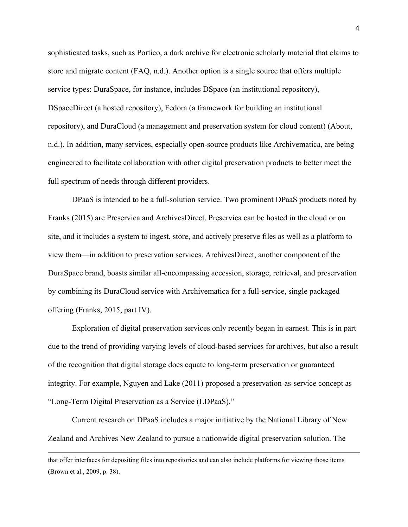sophisticated tasks, such as Portico, a dark archive for electronic scholarly material that claims to store and migrate content (FAQ, n.d.). Another option is a single source that offers multiple service types: DuraSpace, for instance, includes DSpace (an institutional repository), DSpaceDirect (a hosted repository), Fedora (a framework for building an institutional repository), and DuraCloud (a management and preservation system for cloud content) (About, n.d.). In addition, many services, especially open-source products like Archivematica, are being engineered to facilitate collaboration with other digital preservation products to better meet the full spectrum of needs through different providers.

DPaaS is intended to be a full-solution service. Two prominent DPaaS products noted by Franks (2015) are Preservica and ArchivesDirect. Preservica can be hosted in the cloud or on site, and it includes a system to ingest, store, and actively preserve files as well as a platform to view them—in addition to preservation services. ArchivesDirect, another component of the DuraSpace brand, boasts similar all-encompassing accession, storage, retrieval, and preservation by combining its DuraCloud service with Archivematica for a full-service, single packaged offering (Franks, 2015, part IV).

Exploration of digital preservation services only recently began in earnest. This is in part due to the trend of providing varying levels of cloud-based services for archives, but also a result of the recognition that digital storage does equate to long-term preservation or guaranteed integrity. For example, Nguyen and Lake (2011) proposed a preservation-as-service concept as "Long-Term Digital Preservation as a Service (LDPaaS)."

Current research on DPaaS includes a major initiative by the National Library of New Zealand and Archives New Zealand to pursue a nationwide digital preservation solution. The

 $\overline{a}$ 

that offer interfaces for depositing files into repositories and can also include platforms for viewing those items (Brown et al., 2009, p. 38).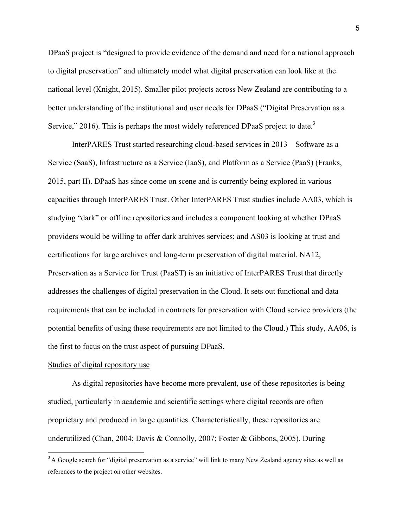DPaaS project is "designed to provide evidence of the demand and need for a national approach to digital preservation" and ultimately model what digital preservation can look like at the national level (Knight, 2015). Smaller pilot projects across New Zealand are contributing to a better understanding of the institutional and user needs for DPaaS ("Digital Preservation as a Service," 2016). This is perhaps the most widely referenced DPaaS project to date.<sup>3</sup>

InterPARES Trust started researching cloud-based services in 2013—Software as a Service (SaaS), Infrastructure as a Service (IaaS), and Platform as a Service (PaaS) (Franks, 2015, part II). DPaaS has since come on scene and is currently being explored in various capacities through InterPARES Trust. Other InterPARES Trust studies include AA03, which is studying "dark" or offline repositories and includes a component looking at whether DPaaS providers would be willing to offer dark archives services; and AS03 is looking at trust and certifications for large archives and long-term preservation of digital material. NA12, Preservation as a Service for Trust (PaaST) is an initiative of InterPARES Trust that directly addresses the challenges of digital preservation in the Cloud. It sets out functional and data requirements that can be included in contracts for preservation with Cloud service providers (the potential benefits of using these requirements are not limited to the Cloud.) This study, AA06, is the first to focus on the trust aspect of pursuing DPaaS.

#### Studies of digital repository use

As digital repositories have become more prevalent, use of these repositories is being studied, particularly in academic and scientific settings where digital records are often proprietary and produced in large quantities. Characteristically, these repositories are underutilized (Chan, 2004; Davis & Connolly, 2007; Foster & Gibbons, 2005). During

<sup>&</sup>lt;sup>3</sup> A Google search for "digital preservation as a service" will link to many New Zealand agency sites as well as references to the project on other websites.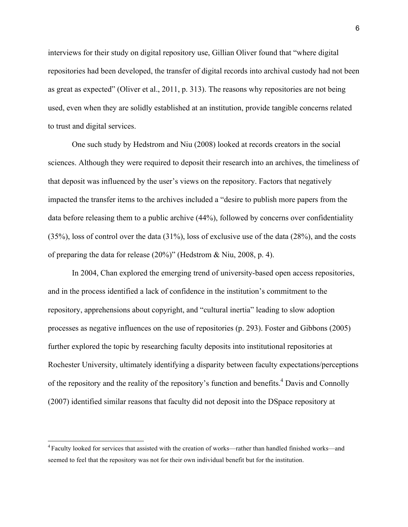interviews for their study on digital repository use, Gillian Oliver found that "where digital repositories had been developed, the transfer of digital records into archival custody had not been as great as expected" (Oliver et al., 2011, p. 313). The reasons why repositories are not being used, even when they are solidly established at an institution, provide tangible concerns related to trust and digital services.

One such study by Hedstrom and Niu (2008) looked at records creators in the social sciences. Although they were required to deposit their research into an archives, the timeliness of that deposit was influenced by the user's views on the repository. Factors that negatively impacted the transfer items to the archives included a "desire to publish more papers from the data before releasing them to a public archive (44%), followed by concerns over confidentiality (35%), loss of control over the data (31%), loss of exclusive use of the data (28%), and the costs of preparing the data for release (20%)" (Hedstrom & Niu, 2008, p. 4).

In 2004, Chan explored the emerging trend of university-based open access repositories, and in the process identified a lack of confidence in the institution's commitment to the repository, apprehensions about copyright, and "cultural inertia" leading to slow adoption processes as negative influences on the use of repositories (p. 293). Foster and Gibbons (2005) further explored the topic by researching faculty deposits into institutional repositories at Rochester University, ultimately identifying a disparity between faculty expectations/perceptions of the repository and the reality of the repository's function and benefits. <sup>4</sup> Davis and Connolly (2007) identified similar reasons that faculty did not deposit into the DSpace repository at

<sup>4</sup> Faculty looked for services that assisted with the creation of works—rather than handled finished works—and seemed to feel that the repository was not for their own individual benefit but for the institution.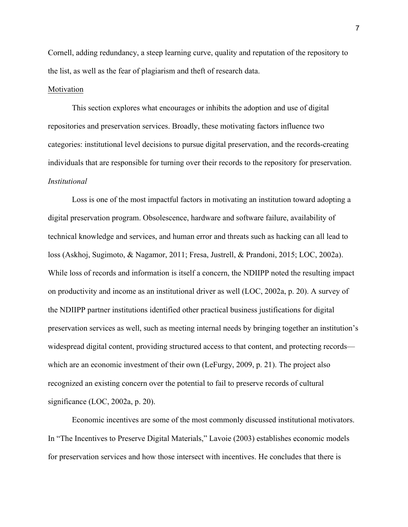Cornell, adding redundancy, a steep learning curve, quality and reputation of the repository to the list, as well as the fear of plagiarism and theft of research data.

#### Motivation

This section explores what encourages or inhibits the adoption and use of digital repositories and preservation services. Broadly, these motivating factors influence two categories: institutional level decisions to pursue digital preservation, and the records-creating individuals that are responsible for turning over their records to the repository for preservation. *Institutional*

Loss is one of the most impactful factors in motivating an institution toward adopting a digital preservation program. Obsolescence, hardware and software failure, availability of technical knowledge and services, and human error and threats such as hacking can all lead to loss (Askhoj, Sugimoto, & Nagamor, 2011; Fresa, Justrell, & Prandoni, 2015; LOC, 2002a). While loss of records and information is itself a concern, the NDIIPP noted the resulting impact on productivity and income as an institutional driver as well (LOC, 2002a, p. 20). A survey of the NDIIPP partner institutions identified other practical business justifications for digital preservation services as well, such as meeting internal needs by bringing together an institution's widespread digital content, providing structured access to that content, and protecting records which are an economic investment of their own (LeFurgy, 2009, p. 21). The project also recognized an existing concern over the potential to fail to preserve records of cultural significance (LOC, 2002a, p. 20).

Economic incentives are some of the most commonly discussed institutional motivators. In "The Incentives to Preserve Digital Materials," Lavoie (2003) establishes economic models for preservation services and how those intersect with incentives. He concludes that there is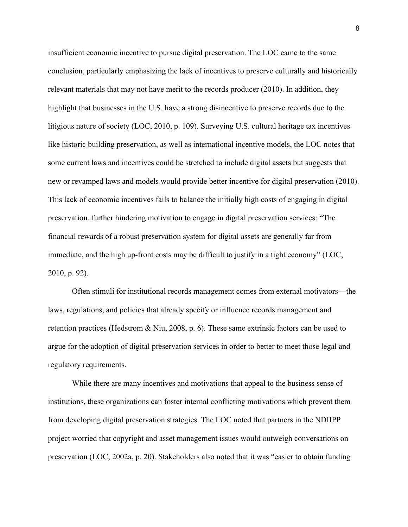insufficient economic incentive to pursue digital preservation. The LOC came to the same conclusion, particularly emphasizing the lack of incentives to preserve culturally and historically relevant materials that may not have merit to the records producer (2010). In addition, they highlight that businesses in the U.S. have a strong disincentive to preserve records due to the litigious nature of society (LOC, 2010, p. 109). Surveying U.S. cultural heritage tax incentives like historic building preservation, as well as international incentive models, the LOC notes that some current laws and incentives could be stretched to include digital assets but suggests that new or revamped laws and models would provide better incentive for digital preservation (2010). This lack of economic incentives fails to balance the initially high costs of engaging in digital preservation, further hindering motivation to engage in digital preservation services: "The financial rewards of a robust preservation system for digital assets are generally far from immediate, and the high up-front costs may be difficult to justify in a tight economy" (LOC, 2010, p. 92).

Often stimuli for institutional records management comes from external motivators—the laws, regulations, and policies that already specify or influence records management and retention practices (Hedstrom & Niu, 2008, p. 6). These same extrinsic factors can be used to argue for the adoption of digital preservation services in order to better to meet those legal and regulatory requirements.

While there are many incentives and motivations that appeal to the business sense of institutions, these organizations can foster internal conflicting motivations which prevent them from developing digital preservation strategies. The LOC noted that partners in the NDIIPP project worried that copyright and asset management issues would outweigh conversations on preservation (LOC, 2002a, p. 20). Stakeholders also noted that it was "easier to obtain funding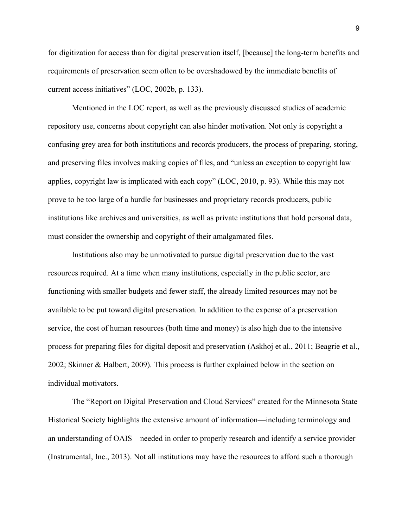for digitization for access than for digital preservation itself, [because] the long-term benefits and requirements of preservation seem often to be overshadowed by the immediate benefits of current access initiatives" (LOC, 2002b, p. 133).

Mentioned in the LOC report, as well as the previously discussed studies of academic repository use, concerns about copyright can also hinder motivation. Not only is copyright a confusing grey area for both institutions and records producers, the process of preparing, storing, and preserving files involves making copies of files, and "unless an exception to copyright law applies, copyright law is implicated with each copy" (LOC, 2010, p. 93). While this may not prove to be too large of a hurdle for businesses and proprietary records producers, public institutions like archives and universities, as well as private institutions that hold personal data, must consider the ownership and copyright of their amalgamated files.

Institutions also may be unmotivated to pursue digital preservation due to the vast resources required. At a time when many institutions, especially in the public sector, are functioning with smaller budgets and fewer staff, the already limited resources may not be available to be put toward digital preservation. In addition to the expense of a preservation service, the cost of human resources (both time and money) is also high due to the intensive process for preparing files for digital deposit and preservation (Askhoj et al., 2011; Beagrie et al., 2002; Skinner & Halbert, 2009). This process is further explained below in the section on individual motivators.

The "Report on Digital Preservation and Cloud Services" created for the Minnesota State Historical Society highlights the extensive amount of information—including terminology and an understanding of OAIS—needed in order to properly research and identify a service provider (Instrumental, Inc., 2013). Not all institutions may have the resources to afford such a thorough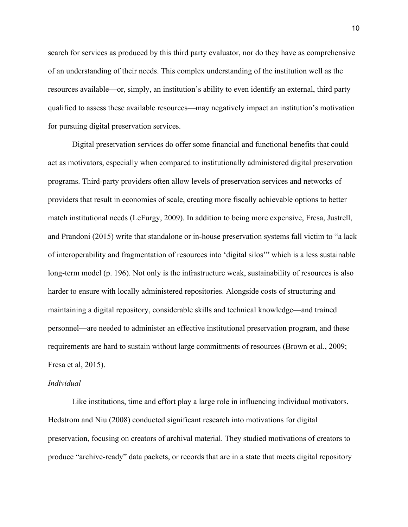search for services as produced by this third party evaluator, nor do they have as comprehensive of an understanding of their needs. This complex understanding of the institution well as the resources available—or, simply, an institution's ability to even identify an external, third party qualified to assess these available resources—may negatively impact an institution's motivation for pursuing digital preservation services.

Digital preservation services do offer some financial and functional benefits that could act as motivators, especially when compared to institutionally administered digital preservation programs. Third-party providers often allow levels of preservation services and networks of providers that result in economies of scale, creating more fiscally achievable options to better match institutional needs (LeFurgy, 2009). In addition to being more expensive, Fresa, Justrell, and Prandoni (2015) write that standalone or in-house preservation systems fall victim to "a lack of interoperability and fragmentation of resources into 'digital silos'" which is a less sustainable long-term model (p. 196). Not only is the infrastructure weak, sustainability of resources is also harder to ensure with locally administered repositories. Alongside costs of structuring and maintaining a digital repository, considerable skills and technical knowledge—and trained personnel—are needed to administer an effective institutional preservation program, and these requirements are hard to sustain without large commitments of resources (Brown et al., 2009; Fresa et al, 2015).

#### *Individual*

Like institutions, time and effort play a large role in influencing individual motivators. Hedstrom and Niu (2008) conducted significant research into motivations for digital preservation, focusing on creators of archival material. They studied motivations of creators to produce "archive-ready" data packets, or records that are in a state that meets digital repository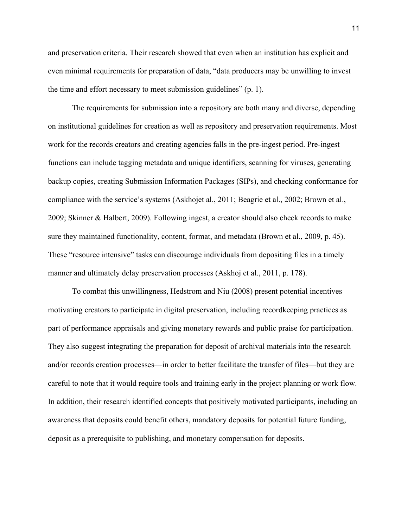and preservation criteria. Their research showed that even when an institution has explicit and even minimal requirements for preparation of data, "data producers may be unwilling to invest the time and effort necessary to meet submission guidelines" (p. 1).

The requirements for submission into a repository are both many and diverse, depending on institutional guidelines for creation as well as repository and preservation requirements. Most work for the records creators and creating agencies falls in the pre-ingest period. Pre-ingest functions can include tagging metadata and unique identifiers, scanning for viruses, generating backup copies, creating Submission Information Packages (SIPs), and checking conformance for compliance with the service's systems (Askhojet al., 2011; Beagrie et al., 2002; Brown et al., 2009; Skinner & Halbert, 2009). Following ingest, a creator should also check records to make sure they maintained functionality, content, format, and metadata (Brown et al., 2009, p. 45). These "resource intensive" tasks can discourage individuals from depositing files in a timely manner and ultimately delay preservation processes (Askhoj et al., 2011, p. 178).

To combat this unwillingness, Hedstrom and Niu (2008) present potential incentives motivating creators to participate in digital preservation, including recordkeeping practices as part of performance appraisals and giving monetary rewards and public praise for participation. They also suggest integrating the preparation for deposit of archival materials into the research and/or records creation processes—in order to better facilitate the transfer of files—but they are careful to note that it would require tools and training early in the project planning or work flow. In addition, their research identified concepts that positively motivated participants, including an awareness that deposits could benefit others, mandatory deposits for potential future funding, deposit as a prerequisite to publishing, and monetary compensation for deposits.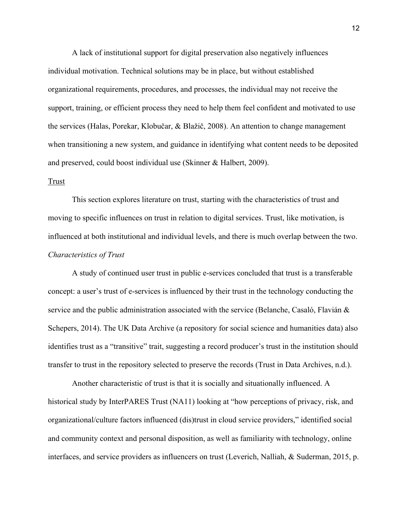A lack of institutional support for digital preservation also negatively influences individual motivation. Technical solutions may be in place, but without established organizational requirements, procedures, and processes, the individual may not receive the support, training, or efficient process they need to help them feel confident and motivated to use the services (Halas, Porekar, Klobučar, & Blažič, 2008). An attention to change management when transitioning a new system, and guidance in identifying what content needs to be deposited and preserved, could boost individual use (Skinner & Halbert, 2009).

## Trust

This section explores literature on trust, starting with the characteristics of trust and moving to specific influences on trust in relation to digital services. Trust, like motivation, is influenced at both institutional and individual levels, and there is much overlap between the two. *Characteristics of Trust*

A study of continued user trust in public e-services concluded that trust is a transferable concept: a user's trust of e-services is influenced by their trust in the technology conducting the service and the public administration associated with the service (Belanche, Casaló, Flavián  $\&$ Schepers, 2014). The UK Data Archive (a repository for social science and humanities data) also identifies trust as a "transitive" trait, suggesting a record producer's trust in the institution should transfer to trust in the repository selected to preserve the records (Trust in Data Archives, n.d.).

Another characteristic of trust is that it is socially and situationally influenced. A historical study by InterPARES Trust (NA11) looking at "how perceptions of privacy, risk, and organizational/culture factors influenced (dis)trust in cloud service providers," identified social and community context and personal disposition, as well as familiarity with technology, online interfaces, and service providers as influencers on trust (Leverich, Nalliah, & Suderman, 2015, p.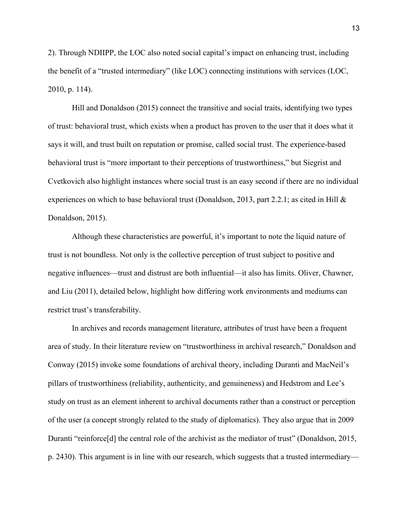2). Through NDIIPP, the LOC also noted social capital's impact on enhancing trust, including the benefit of a "trusted intermediary" (like LOC) connecting institutions with services (LOC, 2010, p. 114).

Hill and Donaldson (2015) connect the transitive and social traits, identifying two types of trust: behavioral trust, which exists when a product has proven to the user that it does what it says it will, and trust built on reputation or promise, called social trust. The experience-based behavioral trust is "more important to their perceptions of trustworthiness," but Siegrist and Cvetkovich also highlight instances where social trust is an easy second if there are no individual experiences on which to base behavioral trust (Donaldson, 2013, part 2.2.1; as cited in Hill & Donaldson, 2015).

Although these characteristics are powerful, it's important to note the liquid nature of trust is not boundless. Not only is the collective perception of trust subject to positive and negative influences—trust and distrust are both influential—it also has limits. Oliver, Chawner, and Liu (2011), detailed below, highlight how differing work environments and mediums can restrict trust's transferability.

In archives and records management literature, attributes of trust have been a frequent area of study. In their literature review on "trustworthiness in archival research," Donaldson and Conway (2015) invoke some foundations of archival theory, including Duranti and MacNeil's pillars of trustworthiness (reliability, authenticity, and genuineness) and Hedstrom and Lee's study on trust as an element inherent to archival documents rather than a construct or perception of the user (a concept strongly related to the study of diplomatics). They also argue that in 2009 Duranti "reinforce[d] the central role of the archivist as the mediator of trust" (Donaldson, 2015, p. 2430). This argument is in line with our research, which suggests that a trusted intermediary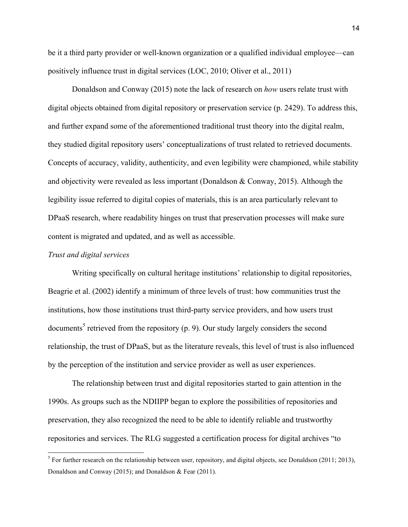be it a third party provider or well-known organization or a qualified individual employee—can positively influence trust in digital services (LOC, 2010; Oliver et al., 2011)

Donaldson and Conway (2015) note the lack of research on *how* users relate trust with digital objects obtained from digital repository or preservation service (p. 2429). To address this, and further expand some of the aforementioned traditional trust theory into the digital realm, they studied digital repository users' conceptualizations of trust related to retrieved documents. Concepts of accuracy, validity, authenticity, and even legibility were championed, while stability and objectivity were revealed as less important (Donaldson & Conway, 2015). Although the legibility issue referred to digital copies of materials, this is an area particularly relevant to DPaaS research, where readability hinges on trust that preservation processes will make sure content is migrated and updated, and as well as accessible.

# *Trust and digital services*

Writing specifically on cultural heritage institutions' relationship to digital repositories, Beagrie et al. (2002) identify a minimum of three levels of trust: how communities trust the institutions, how those institutions trust third-party service providers, and how users trust documents<sup>5</sup> retrieved from the repository (p. 9). Our study largely considers the second relationship, the trust of DPaaS, but as the literature reveals, this level of trust is also influenced by the perception of the institution and service provider as well as user experiences.

The relationship between trust and digital repositories started to gain attention in the 1990s. As groups such as the NDIIPP began to explore the possibilities of repositories and preservation, they also recognized the need to be able to identify reliable and trustworthy repositories and services. The RLG suggested a certification process for digital archives "to

 $<sup>5</sup>$  For further research on the relationship between user, repository, and digital objects, see Donaldson (2011; 2013),</sup> Donaldson and Conway (2015); and Donaldson & Fear (2011).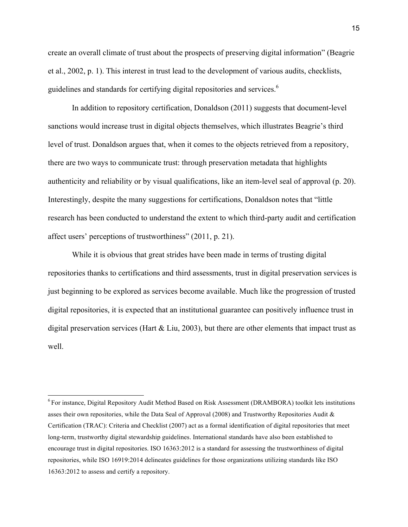create an overall climate of trust about the prospects of preserving digital information" (Beagrie et al., 2002, p. 1). This interest in trust lead to the development of various audits, checklists, guidelines and standards for certifying digital repositories and services.<sup>6</sup>

In addition to repository certification, Donaldson (2011) suggests that document-level sanctions would increase trust in digital objects themselves, which illustrates Beagrie's third level of trust. Donaldson argues that, when it comes to the objects retrieved from a repository, there are two ways to communicate trust: through preservation metadata that highlights authenticity and reliability or by visual qualifications, like an item-level seal of approval (p. 20). Interestingly, despite the many suggestions for certifications, Donaldson notes that "little research has been conducted to understand the extent to which third-party audit and certification affect users' perceptions of trustworthiness" (2011, p. 21).

While it is obvious that great strides have been made in terms of trusting digital repositories thanks to certifications and third assessments, trust in digital preservation services is just beginning to be explored as services become available. Much like the progression of trusted digital repositories, it is expected that an institutional guarantee can positively influence trust in digital preservation services (Hart & Liu, 2003), but there are other elements that impact trust as well.

<sup>6</sup> For instance, Digital Repository Audit Method Based on Risk Assessment (DRAMBORA) toolkit lets institutions asses their own repositories, while the Data Seal of Approval (2008) and Trustworthy Repositories Audit & Certification (TRAC): Criteria and Checklist (2007) act as a formal identification of digital repositories that meet long-term, trustworthy digital stewardship guidelines. International standards have also been established to encourage trust in digital repositories. ISO 16363:2012 is a standard for assessing the trustworthiness of digital repositories, while ISO 16919:2014 delineates guidelines for those organizations utilizing standards like ISO 16363:2012 to assess and certify a repository.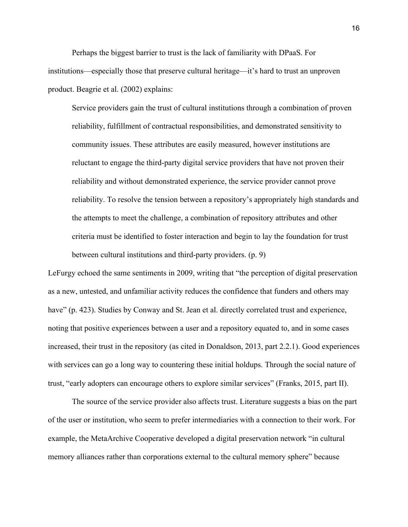Perhaps the biggest barrier to trust is the lack of familiarity with DPaaS. For institutions—especially those that preserve cultural heritage—it's hard to trust an unproven product. Beagrie et al. (2002) explains:

Service providers gain the trust of cultural institutions through a combination of proven reliability, fulfillment of contractual responsibilities, and demonstrated sensitivity to community issues. These attributes are easily measured, however institutions are reluctant to engage the third-party digital service providers that have not proven their reliability and without demonstrated experience, the service provider cannot prove reliability. To resolve the tension between a repository's appropriately high standards and the attempts to meet the challenge, a combination of repository attributes and other criteria must be identified to foster interaction and begin to lay the foundation for trust between cultural institutions and third-party providers. (p. 9)

LeFurgy echoed the same sentiments in 2009, writing that "the perception of digital preservation as a new, untested, and unfamiliar activity reduces the confidence that funders and others may have" (p. 423). Studies by Conway and St. Jean et al. directly correlated trust and experience, noting that positive experiences between a user and a repository equated to, and in some cases increased, their trust in the repository (as cited in Donaldson, 2013, part 2.2.1). Good experiences with services can go a long way to countering these initial holdups. Through the social nature of trust, "early adopters can encourage others to explore similar services" (Franks, 2015, part II).

The source of the service provider also affects trust. Literature suggests a bias on the part of the user or institution, who seem to prefer intermediaries with a connection to their work. For example, the MetaArchive Cooperative developed a digital preservation network "in cultural memory alliances rather than corporations external to the cultural memory sphere" because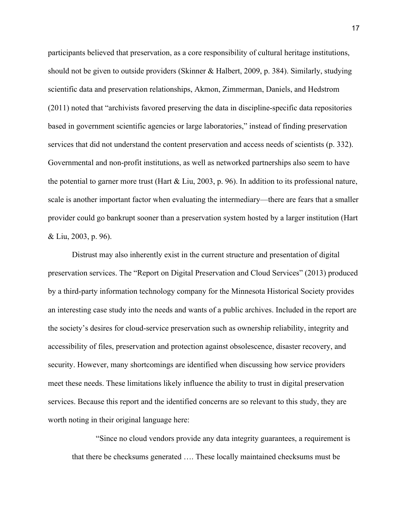participants believed that preservation, as a core responsibility of cultural heritage institutions, should not be given to outside providers (Skinner & Halbert, 2009, p. 384). Similarly, studying scientific data and preservation relationships, Akmon, Zimmerman, Daniels, and Hedstrom (2011) noted that "archivists favored preserving the data in discipline-specific data repositories based in government scientific agencies or large laboratories," instead of finding preservation services that did not understand the content preservation and access needs of scientists (p. 332). Governmental and non-profit institutions, as well as networked partnerships also seem to have the potential to garner more trust (Hart & Liu, 2003, p. 96). In addition to its professional nature, scale is another important factor when evaluating the intermediary—there are fears that a smaller provider could go bankrupt sooner than a preservation system hosted by a larger institution (Hart & Liu, 2003, p. 96).

Distrust may also inherently exist in the current structure and presentation of digital preservation services. The "Report on Digital Preservation and Cloud Services" (2013) produced by a third-party information technology company for the Minnesota Historical Society provides an interesting case study into the needs and wants of a public archives. Included in the report are the society's desires for cloud-service preservation such as ownership reliability, integrity and accessibility of files, preservation and protection against obsolescence, disaster recovery, and security. However, many shortcomings are identified when discussing how service providers meet these needs. These limitations likely influence the ability to trust in digital preservation services. Because this report and the identified concerns are so relevant to this study, they are worth noting in their original language here:

"Since no cloud vendors provide any data integrity guarantees, a requirement is that there be checksums generated …. These locally maintained checksums must be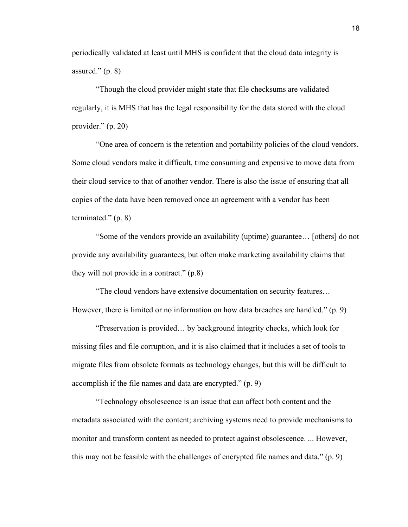periodically validated at least until MHS is confident that the cloud data integrity is assured." (p. 8)

"Though the cloud provider might state that file checksums are validated regularly, it is MHS that has the legal responsibility for the data stored with the cloud provider." (p. 20)

"One area of concern is the retention and portability policies of the cloud vendors. Some cloud vendors make it difficult, time consuming and expensive to move data from their cloud service to that of another vendor. There is also the issue of ensuring that all copies of the data have been removed once an agreement with a vendor has been terminated." (p. 8)

"Some of the vendors provide an availability (uptime) guarantee… [others] do not provide any availability guarantees, but often make marketing availability claims that they will not provide in a contract." (p.8)

"The cloud vendors have extensive documentation on security features… However, there is limited or no information on how data breaches are handled." (p. 9)

"Preservation is provided… by background integrity checks, which look for missing files and file corruption, and it is also claimed that it includes a set of tools to migrate files from obsolete formats as technology changes, but this will be difficult to accomplish if the file names and data are encrypted." (p. 9)

"Technology obsolescence is an issue that can affect both content and the metadata associated with the content; archiving systems need to provide mechanisms to monitor and transform content as needed to protect against obsolescence. ... However, this may not be feasible with the challenges of encrypted file names and data." (p. 9)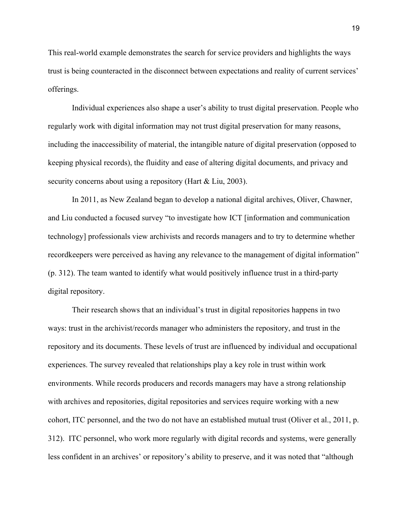This real-world example demonstrates the search for service providers and highlights the ways trust is being counteracted in the disconnect between expectations and reality of current services' offerings.

Individual experiences also shape a user's ability to trust digital preservation. People who regularly work with digital information may not trust digital preservation for many reasons, including the inaccessibility of material, the intangible nature of digital preservation (opposed to keeping physical records), the fluidity and ease of altering digital documents, and privacy and security concerns about using a repository (Hart & Liu, 2003).

In 2011, as New Zealand began to develop a national digital archives, Oliver, Chawner, and Liu conducted a focused survey "to investigate how ICT [information and communication technology] professionals view archivists and records managers and to try to determine whether recordkeepers were perceived as having any relevance to the management of digital information" (p. 312). The team wanted to identify what would positively influence trust in a third-party digital repository.

Their research shows that an individual's trust in digital repositories happens in two ways: trust in the archivist/records manager who administers the repository, and trust in the repository and its documents. These levels of trust are influenced by individual and occupational experiences. The survey revealed that relationships play a key role in trust within work environments. While records producers and records managers may have a strong relationship with archives and repositories, digital repositories and services require working with a new cohort, ITC personnel, and the two do not have an established mutual trust (Oliver et al., 2011, p. 312). ITC personnel, who work more regularly with digital records and systems, were generally less confident in an archives' or repository's ability to preserve, and it was noted that "although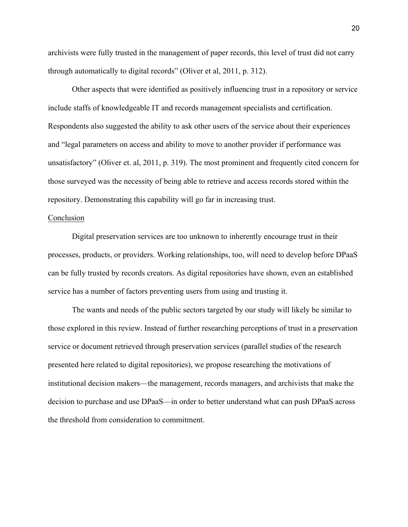archivists were fully trusted in the management of paper records, this level of trust did not carry through automatically to digital records" (Oliver et al, 2011, p. 312).

Other aspects that were identified as positively influencing trust in a repository or service include staffs of knowledgeable IT and records management specialists and certification. Respondents also suggested the ability to ask other users of the service about their experiences and "legal parameters on access and ability to move to another provider if performance was unsatisfactory" (Oliver et. al, 2011, p. 319). The most prominent and frequently cited concern for those surveyed was the necessity of being able to retrieve and access records stored within the repository. Demonstrating this capability will go far in increasing trust.

## Conclusion

Digital preservation services are too unknown to inherently encourage trust in their processes, products, or providers. Working relationships, too, will need to develop before DPaaS can be fully trusted by records creators. As digital repositories have shown, even an established service has a number of factors preventing users from using and trusting it.

The wants and needs of the public sectors targeted by our study will likely be similar to those explored in this review. Instead of further researching perceptions of trust in a preservation service or document retrieved through preservation services (parallel studies of the research presented here related to digital repositories), we propose researching the motivations of institutional decision makers—the management, records managers, and archivists that make the decision to purchase and use DPaaS—in order to better understand what can push DPaaS across the threshold from consideration to commitment.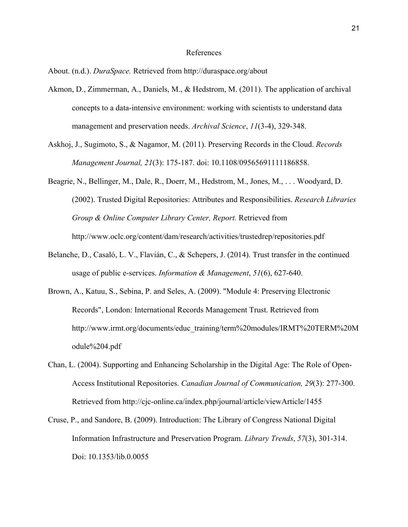#### References

About. (n.d.). *DuraSpace.* Retrieved from http://duraspace.org/about

- Akmon, D., Zimmerman, A., Daniels, M., & Hedstrom, M. (2011). The application of archival concepts to a data-intensive environment: working with scientists to understand data management and preservation needs. *Archival Science*, *11*(3-4), 329-348.
- Askhoj, J., Sugimoto, S., & Nagamor, M. (2011). Preserving Records in the Cloud. *Records Management Journal, 21*(3): 175-187. doi: 10.1108/09565691111186858.
- Beagrie, N., Bellinger, M., Dale, R., Doerr, M., Hedstrom, M., Jones, M., . . . Woodyard, D. (2002). Trusted Digital Repositories: Attributes and Responsibilities. *Research Libraries Group & Online Computer Library Center, Report.* Retrieved from http://www.oclc.org/content/dam/research/activities/trustedrep/repositories.pdf
- Belanche, D., Casaló, L. V., Flavián, C., & Schepers, J. (2014). Trust transfer in the continued usage of public e-services. *Information & Management*, *51*(6), 627-640.
- Brown, A., Katuu, S., Sebina, P. and Seles, A. (2009). "Module 4: Preserving Electronic Records", London: International Records Management Trust. Retrieved from http://www.irmt.org/documents/educ\_training/term%20modules/IRMT%20TERM%20M odule%204.pdf
- Chan, L. (2004). Supporting and Enhancing Scholarship in the Digital Age: The Role of Open-Access Institutional Repositories. *Canadian Journal of Communication, 29*(3): 277-300. Retrieved from http://cjc-online.ca/index.php/journal/article/viewArticle/1455
- Cruse, P., and Sandore, B. (2009). Introduction: The Library of Congress National Digital Information Infrastructure and Preservation Program. *Library Trends*, *57*(3), 301-314. Doi: 10.1353/lib.0.0055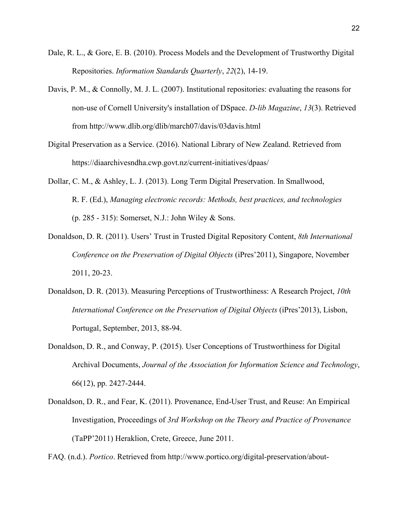- Dale, R. L., & Gore, E. B. (2010). Process Models and the Development of Trustworthy Digital Repositories. *Information Standards Quarterly*, *22*(2), 14-19.
- Davis, P. M., & Connolly, M. J. L. (2007). Institutional repositories: evaluating the reasons for non-use of Cornell University's installation of DSpace. *D-lib Magazine*, *13*(3). Retrieved from http://www.dlib.org/dlib/march07/davis/03davis.html
- Digital Preservation as a Service. (2016). National Library of New Zealand. Retrieved from https://diaarchivesndha.cwp.govt.nz/current-initiatives/dpaas/
- Dollar, C. M., & Ashley, L. J. (2013). Long Term Digital Preservation. In Smallwood, R. F. (Ed.), *Managing electronic records: Methods, best practices, and technologies* (p. 285 - 315): Somerset, N.J.: John Wiley & Sons.
- Donaldson, D. R. (2011). Users' Trust in Trusted Digital Repository Content, *8th International Conference on the Preservation of Digital Objects* (iPres'2011), Singapore, November 2011, 20-23.
- Donaldson, D. R. (2013). Measuring Perceptions of Trustworthiness: A Research Project, *10th International Conference on the Preservation of Digital Objects* (iPres'2013), Lisbon, Portugal, September, 2013, 88-94.
- Donaldson, D. R., and Conway, P. (2015). User Conceptions of Trustworthiness for Digital Archival Documents, *Journal of the Association for Information Science and Technology*, 66(12), pp. 2427-2444.
- Donaldson, D. R., and Fear, K. (2011). Provenance, End-User Trust, and Reuse: An Empirical Investigation, Proceedings of *3rd Workshop on the Theory and Practice of Provenance* (TaPP'2011) Heraklion, Crete, Greece, June 2011.

FAQ. (n.d.). *Portico*. Retrieved from http://www.portico.org/digital-preservation/about-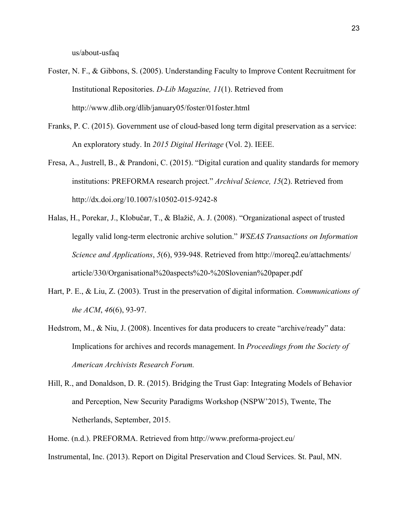us/about-usfaq

- Foster, N. F., & Gibbons, S. (2005). Understanding Faculty to Improve Content Recruitment for Institutional Repositories. *D-Lib Magazine, 11*(1). Retrieved from http://www.dlib.org/dlib/january05/foster/01foster.html
- Franks, P. C. (2015). Government use of cloud-based long term digital preservation as a service: An exploratory study. In *2015 Digital Heritage* (Vol. 2). IEEE.
- Fresa, A., Justrell, B., & Prandoni, C. (2015). "Digital curation and quality standards for memory institutions: PREFORMA research project." *Archival Science, 15*(2). Retrieved from http://dx.doi.org/10.1007/s10502-015-9242-8
- Halas, H., Porekar, J., Klobučar, T., & Blažič, A. J. (2008). "Organizational aspect of trusted legally valid long-term electronic archive solution." *WSEAS Transactions on Information Science and Applications*, *5*(6), 939-948. Retrieved from http://moreq2.eu/attachments/ article/330/Organisational%20aspects%20-%20Slovenian%20paper.pdf
- Hart, P. E., & Liu, Z. (2003). Trust in the preservation of digital information. *Communications of the ACM*, *46*(6), 93-97.
- Hedstrom, M., & Niu, J. (2008). Incentives for data producers to create "archive/ready" data: Implications for archives and records management. In *Proceedings from the Society of American Archivists Research Forum.*
- Hill, R., and Donaldson, D. R. (2015). Bridging the Trust Gap: Integrating Models of Behavior and Perception, New Security Paradigms Workshop (NSPW'2015), Twente, The Netherlands, September, 2015.

Home. (n.d.). PREFORMA. Retrieved from http://www.preforma-project.eu/ Instrumental, Inc. (2013). Report on Digital Preservation and Cloud Services. St. Paul, MN.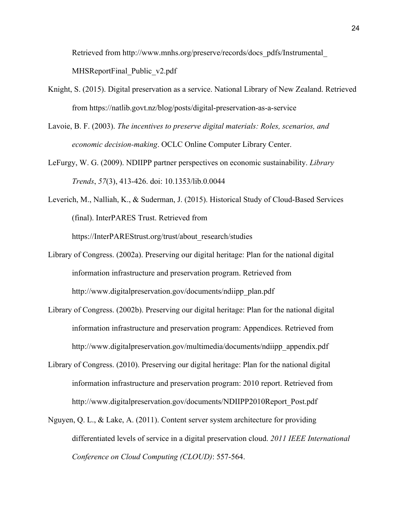Retrieved from http://www.mnhs.org/preserve/records/docs\_pdfs/Instrumental\_ MHSReportFinal Public v2.pdf

- Knight, S. (2015). Digital preservation as a service. National Library of New Zealand. Retrieved from https://natlib.govt.nz/blog/posts/digital-preservation-as-a-service
- Lavoie, B. F. (2003). *The incentives to preserve digital materials: Roles, scenarios, and economic decision-making*. OCLC Online Computer Library Center.
- LeFurgy, W. G. (2009). NDIIPP partner perspectives on economic sustainability. *Library Trends*, *57*(3), 413-426. doi: 10.1353/lib.0.0044
- Leverich, M., Nalliah, K., & Suderman, J. (2015). Historical Study of Cloud-Based Services (final). InterPARES Trust. Retrieved from https://InterPAREStrust.org/trust/about\_research/studies
- Library of Congress. (2002a). Preserving our digital heritage: Plan for the national digital information infrastructure and preservation program. Retrieved from http://www.digitalpreservation.gov/documents/ndiipp\_plan.pdf
- Library of Congress. (2002b). Preserving our digital heritage: Plan for the national digital information infrastructure and preservation program: Appendices. Retrieved from http://www.digitalpreservation.gov/multimedia/documents/ndiipp\_appendix.pdf
- Library of Congress. (2010). Preserving our digital heritage: Plan for the national digital information infrastructure and preservation program: 2010 report. Retrieved from http://www.digitalpreservation.gov/documents/NDIIPP2010Report\_Post.pdf
- Nguyen, Q. L., & Lake, A. (2011). Content server system architecture for providing differentiated levels of service in a digital preservation cloud. *2011 IEEE International Conference on Cloud Computing (CLOUD)*: 557-564.